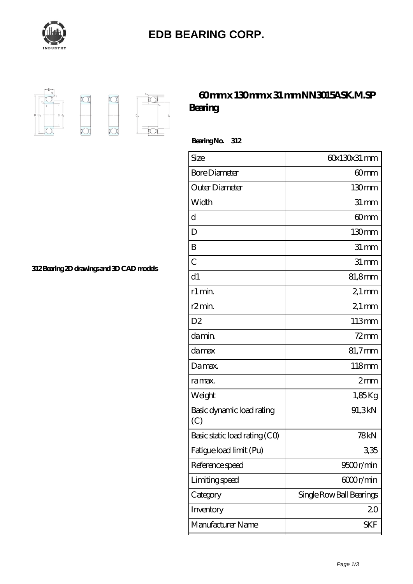

## **[EDB BEARING CORP.](https://m.identitywithheld.org)**



## **[60 mm x 130 mm x 31 mm NN3015ASK.M.SP](https://m.identitywithheld.org/bz-591230-nn3015ask-m-sp-bearing.html) [Bearing](https://m.identitywithheld.org/bz-591230-nn3015ask-m-sp-bearing.html)**

 **Bearing No. 312**

| Size                             | 60x130x31 mm             |
|----------------------------------|--------------------------|
| <b>Bore Diameter</b>             | 60 <sub>mm</sub>         |
| Outer Diameter                   | 130mm                    |
| Width                            | $31 \, \text{mm}$        |
| d                                | 60mm                     |
| D                                | 130 <sub>mm</sub>        |
| B                                | $31 \, \text{mm}$        |
| $\overline{C}$                   | $31 \, \text{mm}$        |
| d1                               | 81,8mm                   |
| r1 min.                          | $21 \,\mathrm{mm}$       |
| r <sub>2</sub> min.              | $21$ mm                  |
| D <sub>2</sub>                   | 113mm                    |
| da min.                          | $72$ mm                  |
| damax                            | 81,7mm                   |
| Damax.                           | 118mm                    |
| ra max.                          | 2mm                      |
| Weight                           | 1,85Kg                   |
| Basic dynamic load rating<br>(C) | 91,3kN                   |
| Basic static load rating (CO)    | <b>78kN</b>              |
| Fatigue load limit (Pu)          | 335                      |
| Reference speed                  | 9500r/min                |
| Limiting speed                   | 6000r/min                |
| Category                         | Single Row Ball Bearings |
| Inventory                        | 20                       |
| Manufacturer Name                | <b>SKF</b>               |

**[312 Bearing 2D drawings and 3D CAD models](https://m.identitywithheld.org/pic-591230.html)**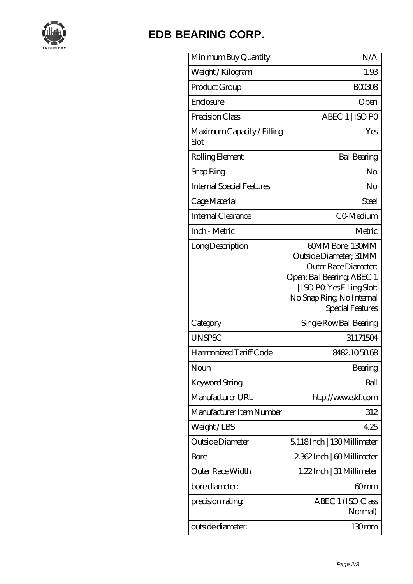

## **[EDB BEARING CORP.](https://m.identitywithheld.org)**

| Minimum Buy Quantity               | N/A                                                                                                                                                                              |
|------------------------------------|----------------------------------------------------------------------------------------------------------------------------------------------------------------------------------|
| Weight / Kilogram                  | 1.93                                                                                                                                                                             |
| Product Group                      | <b>BOO308</b>                                                                                                                                                                    |
| Enclosure                          | Open                                                                                                                                                                             |
| Precision Class                    | ABEC 1   ISO PO                                                                                                                                                                  |
| Maximum Capacity / Filling<br>Slot | Yes                                                                                                                                                                              |
| Rolling Element                    | <b>Ball Bearing</b>                                                                                                                                                              |
| Snap Ring                          | No                                                                                                                                                                               |
| Internal Special Features          | No                                                                                                                                                                               |
| Cage Material                      | Steel                                                                                                                                                                            |
| Internal Clearance                 | CO-Medium                                                                                                                                                                        |
| Inch - Metric                      | Metric                                                                                                                                                                           |
| Long Description                   | 60MM Bore; 130MM<br>Outside Diameter; 31MM<br>Outer Race Diameter;<br>Open; Ball Bearing; ABEC 1<br>  ISO PO, Yes Filling Slot;<br>No Snap Ring, No Internal<br>Special Features |
| Category                           | Single Row Ball Bearing                                                                                                                                                          |
| <b>UNSPSC</b>                      | 31171504                                                                                                                                                                         |
| Harmonized Tariff Code             | 8482.105068                                                                                                                                                                      |
| Noun                               | Bearing                                                                                                                                                                          |
| <b>Keyword String</b>              | Ball                                                                                                                                                                             |
| Manufacturer URL                   | http://www.skf.com                                                                                                                                                               |
| Manufacturer Item Number           | 312                                                                                                                                                                              |
| Weight/LBS                         | 425                                                                                                                                                                              |
| Outside Diameter                   | 5118Inch   130Millimeter                                                                                                                                                         |
| Bore                               | 2362Inch   60Millimeter                                                                                                                                                          |
| Outer Race Width                   | 1.22Inch   31 Millimeter                                                                                                                                                         |
| bore diameter:                     | 60mm                                                                                                                                                                             |
| precision rating                   | ABEC 1 (ISO Class<br>Normal)                                                                                                                                                     |
| outside diameter:                  | 130 <sub>mm</sub>                                                                                                                                                                |